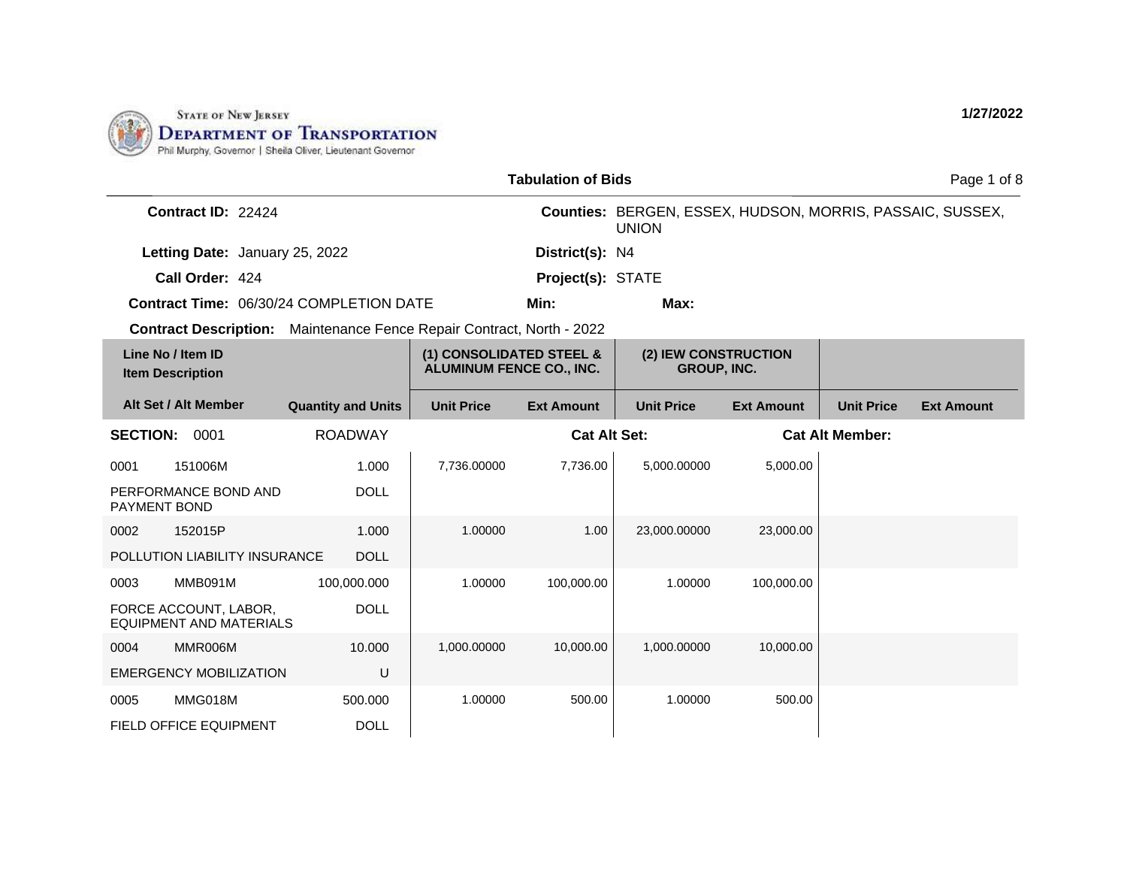

|                                                                              |                           |                                                             | <b>Tabulation of Bids</b> |                                                                           |                   | Page 1 of 8            |                   |
|------------------------------------------------------------------------------|---------------------------|-------------------------------------------------------------|---------------------------|---------------------------------------------------------------------------|-------------------|------------------------|-------------------|
| Contract ID: 22424                                                           |                           |                                                             |                           | Counties: BERGEN, ESSEX, HUDSON, MORRIS, PASSAIC, SUSSEX,<br><b>UNION</b> |                   |                        |                   |
| Letting Date: January 25, 2022                                               |                           |                                                             | District(s): N4           |                                                                           |                   |                        |                   |
| Call Order: 424                                                              |                           |                                                             | Project(s): STATE         |                                                                           |                   |                        |                   |
| <b>Contract Time: 06/30/24 COMPLETION DATE</b>                               |                           |                                                             | Min:                      | Max:                                                                      |                   |                        |                   |
| <b>Contract Description:</b> Maintenance Fence Repair Contract, North - 2022 |                           |                                                             |                           |                                                                           |                   |                        |                   |
| Line No / Item ID<br><b>Item Description</b>                                 |                           | (1) CONSOLIDATED STEEL &<br><b>ALUMINUM FENCE CO., INC.</b> |                           | (2) IEW CONSTRUCTION<br><b>GROUP, INC.</b>                                |                   |                        |                   |
| Alt Set / Alt Member                                                         | <b>Quantity and Units</b> | <b>Unit Price</b>                                           | <b>Ext Amount</b>         | <b>Unit Price</b>                                                         | <b>Ext Amount</b> | <b>Unit Price</b>      | <b>Ext Amount</b> |
| <b>SECTION:</b><br>0001                                                      | <b>ROADWAY</b>            |                                                             | <b>Cat Alt Set:</b>       |                                                                           |                   | <b>Cat Alt Member:</b> |                   |
| 151006M<br>0001                                                              | 1.000                     | 7,736.00000                                                 | 7,736.00                  | 5,000.00000                                                               | 5,000.00          |                        |                   |
| PERFORMANCE BOND AND<br>PAYMENT BOND                                         | <b>DOLL</b>               |                                                             |                           |                                                                           |                   |                        |                   |
| 152015P<br>0002                                                              | 1.000                     | 1.00000                                                     | 1.00                      | 23,000.00000                                                              | 23,000.00         |                        |                   |
| POLLUTION LIABILITY INSURANCE                                                | <b>DOLL</b>               |                                                             |                           |                                                                           |                   |                        |                   |
| MMB091M<br>0003                                                              | 100,000.000               | 1.00000                                                     | 100,000.00                | 1.00000                                                                   | 100,000.00        |                        |                   |
| FORCE ACCOUNT, LABOR,<br><b>EQUIPMENT AND MATERIALS</b>                      | <b>DOLL</b>               |                                                             |                           |                                                                           |                   |                        |                   |
| 0004<br>MMR006M                                                              | 10.000                    | 1,000.00000                                                 | 10,000.00                 | 1,000.00000                                                               | 10,000.00         |                        |                   |
| <b>EMERGENCY MOBILIZATION</b>                                                | U                         |                                                             |                           |                                                                           |                   |                        |                   |
| MMG018M<br>0005                                                              | 500.000                   | 1.00000                                                     | 500.00                    | 1.00000                                                                   | 500.00            |                        |                   |
| <b>FIELD OFFICE EQUIPMENT</b>                                                | <b>DOLL</b>               |                                                             |                           |                                                                           |                   |                        |                   |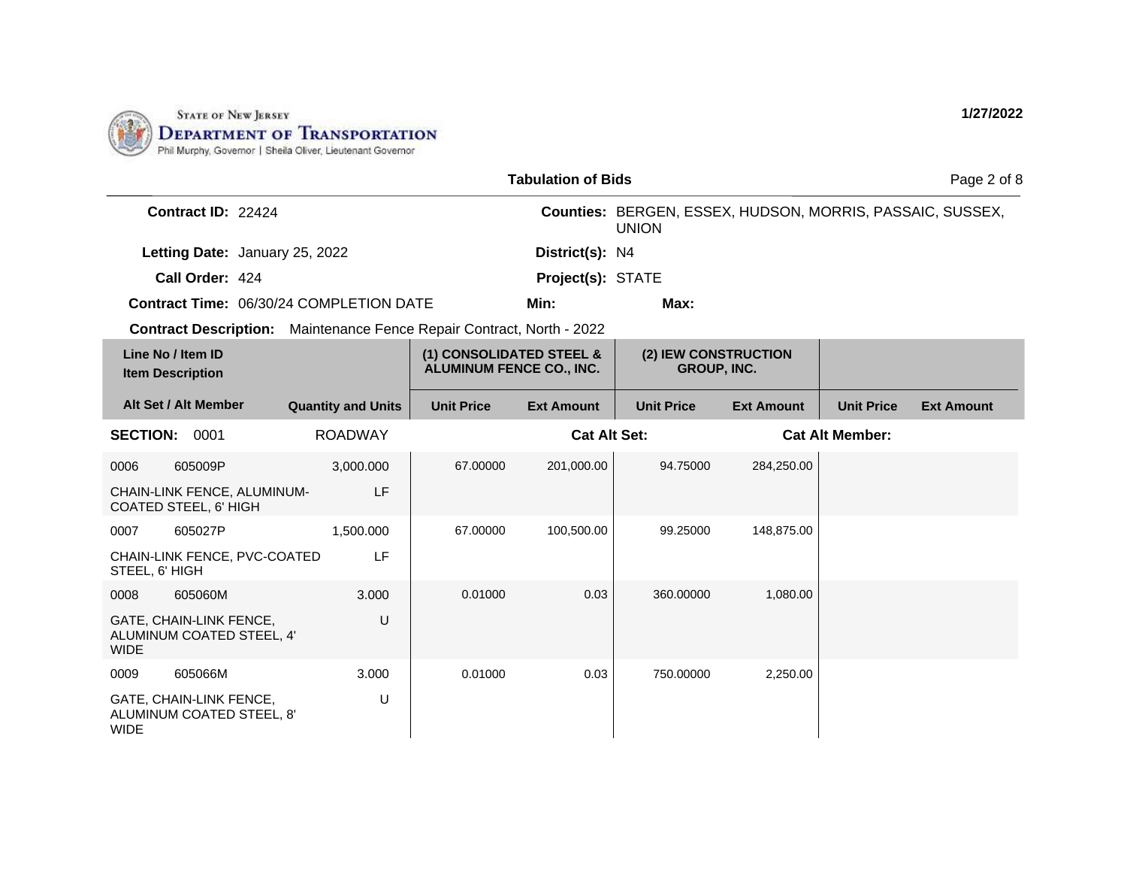

|                                              |                                                      |                                                                              | <b>Tabulation of Bids</b>                                   |                     |                                                                           | Page 2 of 8       |                        |                   |
|----------------------------------------------|------------------------------------------------------|------------------------------------------------------------------------------|-------------------------------------------------------------|---------------------|---------------------------------------------------------------------------|-------------------|------------------------|-------------------|
|                                              | Contract ID: 22424                                   |                                                                              |                                                             |                     | Counties: BERGEN, ESSEX, HUDSON, MORRIS, PASSAIC, SUSSEX,<br><b>UNION</b> |                   |                        |                   |
|                                              | Letting Date: January 25, 2022                       |                                                                              |                                                             | District(s): N4     |                                                                           |                   |                        |                   |
|                                              | Call Order: 424                                      |                                                                              |                                                             | Project(s): STATE   |                                                                           |                   |                        |                   |
|                                              |                                                      | <b>Contract Time: 06/30/24 COMPLETION DATE</b>                               |                                                             | Min:                | Max:                                                                      |                   |                        |                   |
|                                              |                                                      | <b>Contract Description:</b> Maintenance Fence Repair Contract, North - 2022 |                                                             |                     |                                                                           |                   |                        |                   |
| Line No / Item ID<br><b>Item Description</b> |                                                      |                                                                              | (1) CONSOLIDATED STEEL &<br><b>ALUMINUM FENCE CO., INC.</b> |                     | (2) IEW CONSTRUCTION<br><b>GROUP, INC.</b>                                |                   |                        |                   |
| Alt Set / Alt Member                         |                                                      | <b>Quantity and Units</b>                                                    | <b>Unit Price</b>                                           | <b>Ext Amount</b>   | <b>Unit Price</b>                                                         | <b>Ext Amount</b> | <b>Unit Price</b>      | <b>Ext Amount</b> |
| <b>SECTION: 0001</b>                         |                                                      | <b>ROADWAY</b>                                                               |                                                             | <b>Cat Alt Set:</b> |                                                                           |                   | <b>Cat Alt Member:</b> |                   |
| 0006                                         | 605009P                                              | 3,000.000                                                                    | 67.00000                                                    | 201,000.00          | 94.75000                                                                  | 284,250.00        |                        |                   |
| <b>COATED STEEL, 6' HIGH</b>                 | CHAIN-LINK FENCE, ALUMINUM-                          | LF                                                                           |                                                             |                     |                                                                           |                   |                        |                   |
| 0007                                         | 605027P                                              | 1,500.000                                                                    | 67.00000                                                    | 100,500.00          | 99.25000                                                                  | 148,875.00        |                        |                   |
| STEEL, 6' HIGH                               | CHAIN-LINK FENCE, PVC-COATED                         | LF                                                                           |                                                             |                     |                                                                           |                   |                        |                   |
| 0008                                         | 605060M                                              | 3.000                                                                        | 0.01000                                                     | 0.03                | 360.00000                                                                 | 1,080.00          |                        |                   |
| <b>WIDE</b>                                  | GATE, CHAIN-LINK FENCE,<br>ALUMINUM COATED STEEL, 4' | U                                                                            |                                                             |                     |                                                                           |                   |                        |                   |
| 0009                                         | 605066M                                              | 3.000                                                                        | 0.01000                                                     | 0.03                | 750.00000                                                                 | 2,250.00          |                        |                   |
| <b>WIDE</b>                                  | GATE, CHAIN-LINK FENCE,<br>ALUMINUM COATED STEEL, 8' | U                                                                            |                                                             |                     |                                                                           |                   |                        |                   |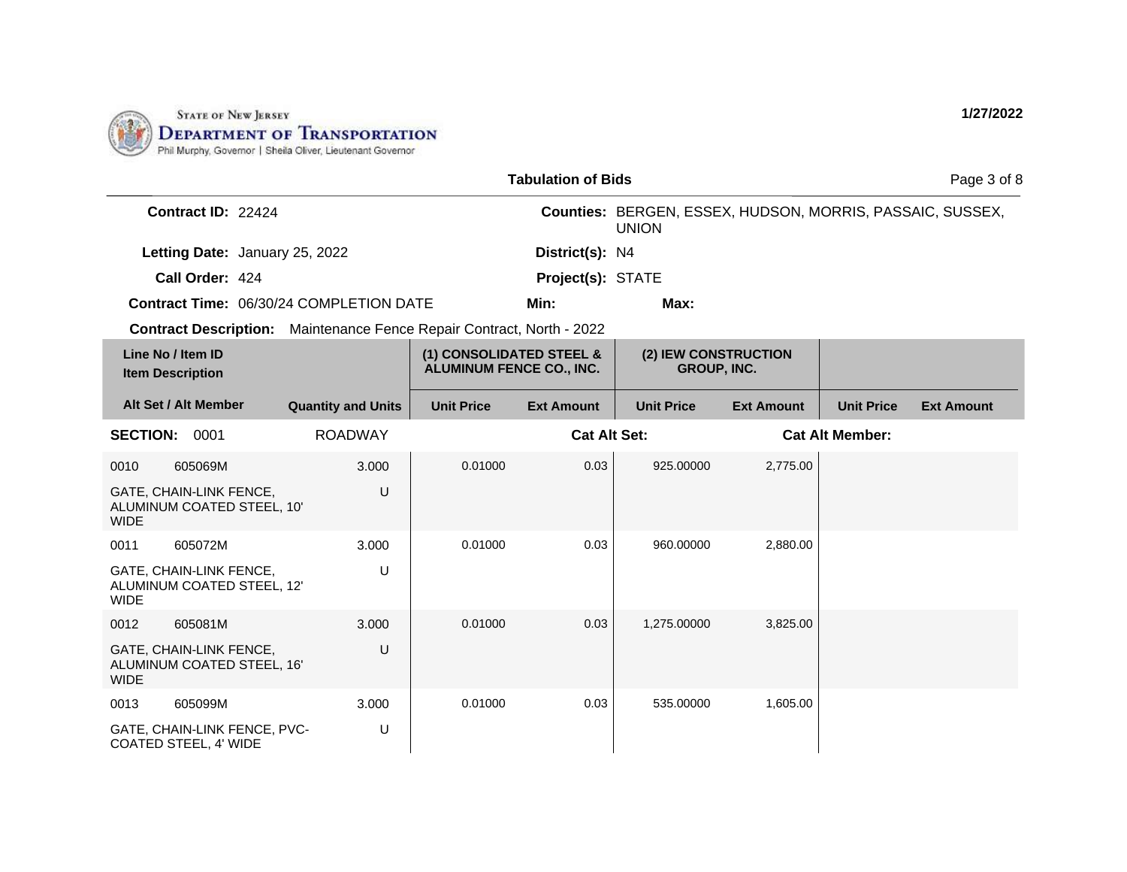

|                                                                       |                           |                                                             | <b>Tabulation of Bids</b> |                                                                           |                   |                        | Page 3 of 8       |
|-----------------------------------------------------------------------|---------------------------|-------------------------------------------------------------|---------------------------|---------------------------------------------------------------------------|-------------------|------------------------|-------------------|
| Contract ID: 22424                                                    |                           |                                                             |                           | Counties: BERGEN, ESSEX, HUDSON, MORRIS, PASSAIC, SUSSEX,<br><b>UNION</b> |                   |                        |                   |
| Letting Date: January 25, 2022                                        |                           |                                                             | District(s): N4           |                                                                           |                   |                        |                   |
| Call Order: 424                                                       |                           |                                                             | Project(s): STATE         |                                                                           |                   |                        |                   |
| Contract Time: 06/30/24 COMPLETION DATE                               |                           |                                                             | Min:                      | Max:                                                                      |                   |                        |                   |
| Contract Description: Maintenance Fence Repair Contract, North - 2022 |                           |                                                             |                           |                                                                           |                   |                        |                   |
| Line No / Item ID<br><b>Item Description</b>                          |                           | (1) CONSOLIDATED STEEL &<br><b>ALUMINUM FENCE CO., INC.</b> |                           | (2) IEW CONSTRUCTION<br><b>GROUP, INC.</b>                                |                   |                        |                   |
| Alt Set / Alt Member                                                  | <b>Quantity and Units</b> | <b>Unit Price</b>                                           | <b>Ext Amount</b>         | <b>Unit Price</b>                                                         | <b>Ext Amount</b> | <b>Unit Price</b>      | <b>Ext Amount</b> |
| <b>SECTION: 0001</b>                                                  | <b>ROADWAY</b>            |                                                             | <b>Cat Alt Set:</b>       |                                                                           |                   | <b>Cat Alt Member:</b> |                   |
| 605069M<br>0010                                                       | 3.000                     | 0.01000                                                     | 0.03                      | 925.00000                                                                 | 2,775.00          |                        |                   |
| GATE, CHAIN-LINK FENCE,<br>ALUMINUM COATED STEEL, 10'<br><b>WIDE</b>  | U                         |                                                             |                           |                                                                           |                   |                        |                   |
| 605072M<br>0011                                                       | 3.000                     | 0.01000                                                     | 0.03                      | 960.00000                                                                 | 2,880.00          |                        |                   |
| GATE, CHAIN-LINK FENCE,<br>ALUMINUM COATED STEEL, 12'<br><b>WIDE</b>  | U                         |                                                             |                           |                                                                           |                   |                        |                   |
| 605081M<br>0012                                                       | 3.000                     | 0.01000                                                     | 0.03                      | 1,275.00000                                                               | 3,825.00          |                        |                   |
| GATE, CHAIN-LINK FENCE,<br>ALUMINUM COATED STEEL, 16'<br><b>WIDE</b>  | U                         |                                                             |                           |                                                                           |                   |                        |                   |
| 605099M<br>0013                                                       | 3.000                     | 0.01000                                                     | 0.03                      | 535.00000                                                                 | 1,605.00          |                        |                   |
| GATE, CHAIN-LINK FENCE, PVC-<br>COATED STEEL, 4' WIDE                 | U                         |                                                             |                           |                                                                           |                   |                        |                   |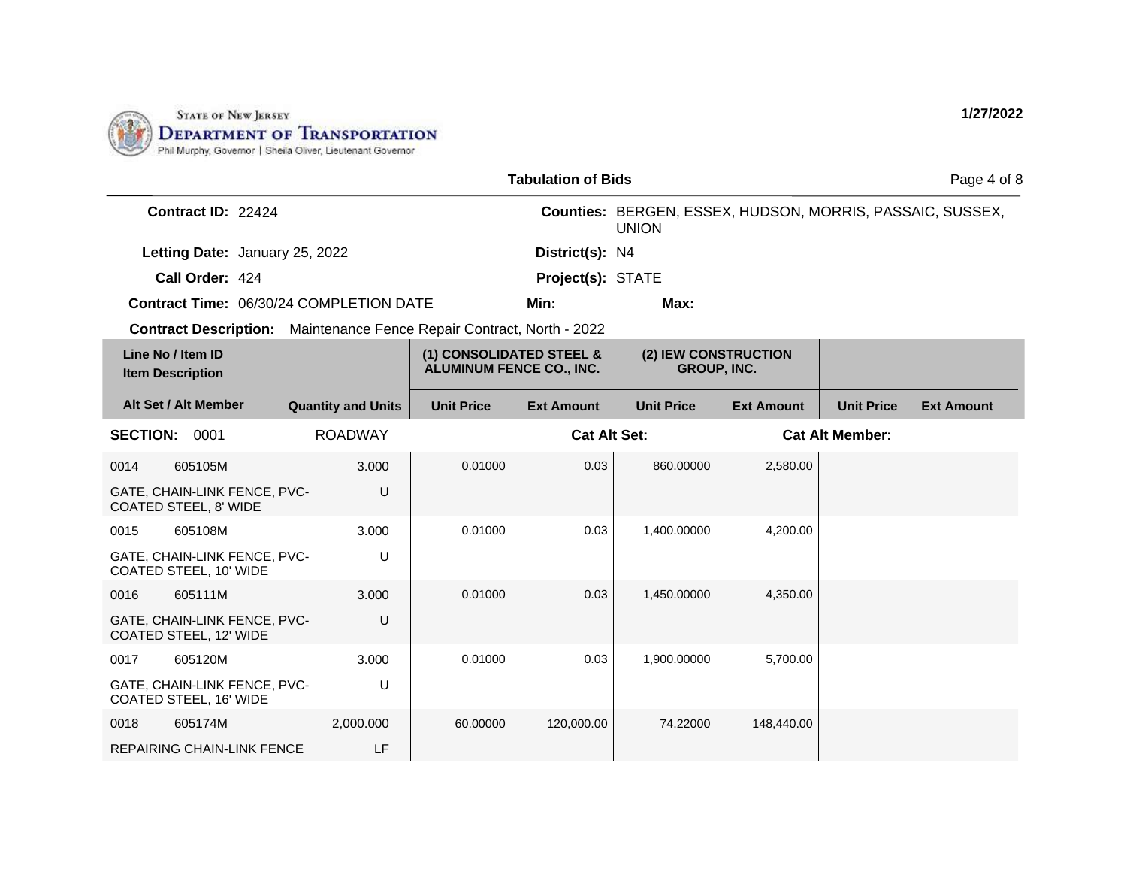

|                                                                              |  | <b>Tabulation of Bids</b> |                                                             |                     | Page 4 of 8                                                               |                   |                        |                   |
|------------------------------------------------------------------------------|--|---------------------------|-------------------------------------------------------------|---------------------|---------------------------------------------------------------------------|-------------------|------------------------|-------------------|
| Contract ID: 22424                                                           |  |                           |                                                             |                     | Counties: BERGEN, ESSEX, HUDSON, MORRIS, PASSAIC, SUSSEX,<br><b>UNION</b> |                   |                        |                   |
| Letting Date: January 25, 2022                                               |  |                           |                                                             | District(s): N4     |                                                                           |                   |                        |                   |
| Call Order: 424                                                              |  |                           |                                                             | Project(s): STATE   |                                                                           |                   |                        |                   |
| <b>Contract Time: 06/30/24 COMPLETION DATE</b>                               |  |                           |                                                             | Min:                | Max:                                                                      |                   |                        |                   |
| <b>Contract Description:</b> Maintenance Fence Repair Contract, North - 2022 |  |                           |                                                             |                     |                                                                           |                   |                        |                   |
| Line No / Item ID<br><b>Item Description</b>                                 |  |                           | (1) CONSOLIDATED STEEL &<br><b>ALUMINUM FENCE CO., INC.</b> |                     | (2) IEW CONSTRUCTION<br><b>GROUP, INC.</b>                                |                   |                        |                   |
| Alt Set / Alt Member                                                         |  | <b>Quantity and Units</b> | <b>Unit Price</b>                                           | <b>Ext Amount</b>   | <b>Unit Price</b>                                                         | <b>Ext Amount</b> | <b>Unit Price</b>      | <b>Ext Amount</b> |
| <b>SECTION: 0001</b>                                                         |  | <b>ROADWAY</b>            |                                                             | <b>Cat Alt Set:</b> |                                                                           |                   | <b>Cat Alt Member:</b> |                   |
| 605105M<br>0014                                                              |  | 3.000                     | 0.01000                                                     | 0.03                | 860.00000                                                                 | 2,580.00          |                        |                   |
| GATE, CHAIN-LINK FENCE, PVC-<br>COATED STEEL, 8' WIDE                        |  | U                         |                                                             |                     |                                                                           |                   |                        |                   |
| 605108M<br>0015                                                              |  | 3.000                     | 0.01000                                                     | 0.03                | 1,400.00000                                                               | 4,200.00          |                        |                   |
| GATE, CHAIN-LINK FENCE, PVC-<br>COATED STEEL, 10' WIDE                       |  | U                         |                                                             |                     |                                                                           |                   |                        |                   |
| 605111M<br>0016                                                              |  | 3.000                     | 0.01000                                                     | 0.03                | 1,450.00000                                                               | 4,350.00          |                        |                   |
| GATE, CHAIN-LINK FENCE, PVC-<br>COATED STEEL, 12' WIDE                       |  | U                         |                                                             |                     |                                                                           |                   |                        |                   |
| 605120M<br>0017                                                              |  | 3.000                     | 0.01000                                                     | 0.03                | 1,900.00000                                                               | 5,700.00          |                        |                   |
| GATE, CHAIN-LINK FENCE, PVC-<br>COATED STEEL, 16' WIDE                       |  | U                         |                                                             |                     |                                                                           |                   |                        |                   |
| 605174M<br>0018                                                              |  | 2,000.000                 | 60.00000                                                    | 120,000.00          | 74.22000                                                                  | 148,440.00        |                        |                   |
| <b>REPAIRING CHAIN-LINK FENCE</b>                                            |  | LF                        |                                                             |                     |                                                                           |                   |                        |                   |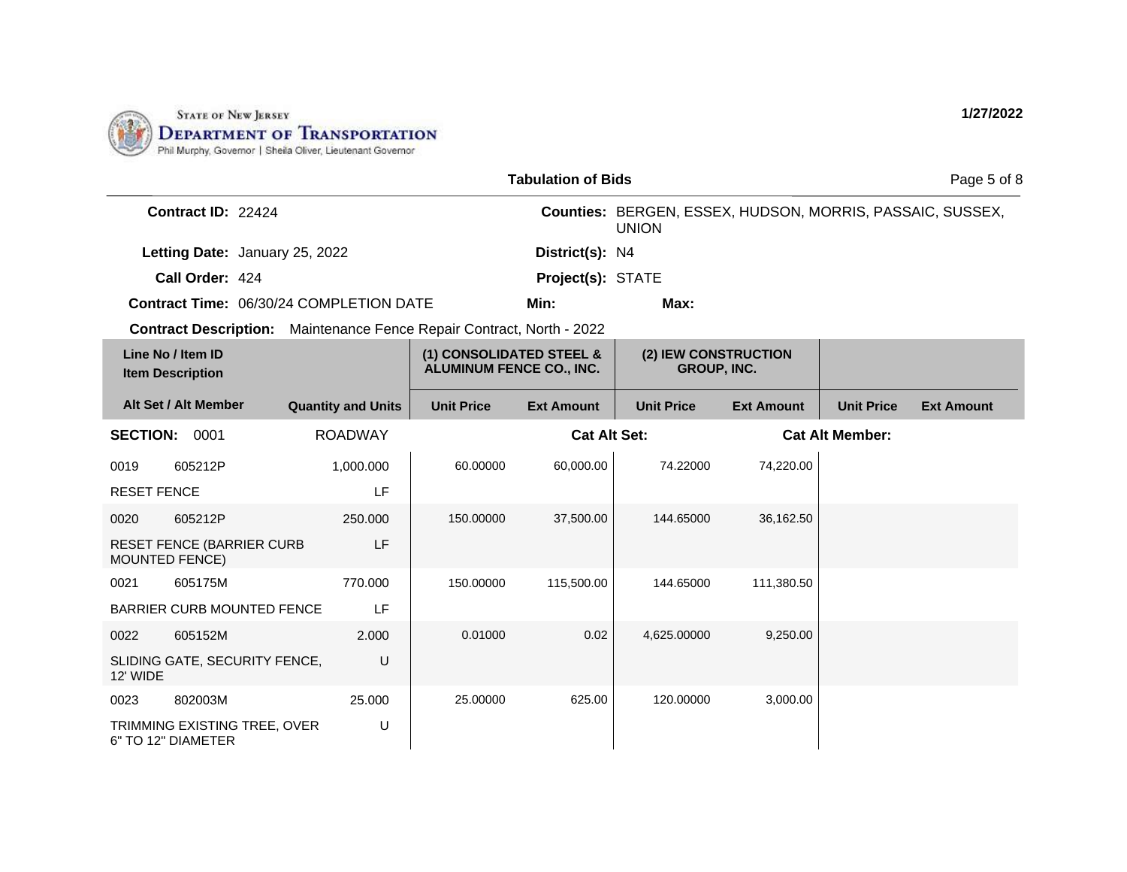

|                      |                                                                       |                           |                                                             | <b>Tabulation of Bids</b> |                                                                           |                   |                        | Page 5 of 8       |
|----------------------|-----------------------------------------------------------------------|---------------------------|-------------------------------------------------------------|---------------------------|---------------------------------------------------------------------------|-------------------|------------------------|-------------------|
|                      | Contract ID: 22424                                                    |                           |                                                             |                           | Counties: BERGEN, ESSEX, HUDSON, MORRIS, PASSAIC, SUSSEX,<br><b>UNION</b> |                   |                        |                   |
|                      | Letting Date: January 25, 2022                                        |                           |                                                             | District(s): N4           |                                                                           |                   |                        |                   |
|                      | Call Order: 424                                                       |                           |                                                             | Project(s): STATE         |                                                                           |                   |                        |                   |
|                      | <b>Contract Time: 06/30/24 COMPLETION DATE</b>                        |                           |                                                             | Min:                      | Max:                                                                      |                   |                        |                   |
|                      | Contract Description: Maintenance Fence Repair Contract, North - 2022 |                           |                                                             |                           |                                                                           |                   |                        |                   |
|                      | Line No / Item ID<br><b>Item Description</b>                          |                           | (1) CONSOLIDATED STEEL &<br><b>ALUMINUM FENCE CO., INC.</b> |                           | (2) IEW CONSTRUCTION<br><b>GROUP, INC.</b>                                |                   |                        |                   |
|                      | Alt Set / Alt Member                                                  | <b>Quantity and Units</b> | <b>Unit Price</b>                                           | <b>Ext Amount</b>         | <b>Unit Price</b>                                                         | <b>Ext Amount</b> | <b>Unit Price</b>      | <b>Ext Amount</b> |
| <b>SECTION: 0001</b> |                                                                       | <b>ROADWAY</b>            |                                                             | <b>Cat Alt Set:</b>       |                                                                           |                   | <b>Cat Alt Member:</b> |                   |
| 0019                 | 605212P                                                               | 1,000.000                 | 60.00000                                                    | 60,000.00                 | 74.22000                                                                  | 74,220.00         |                        |                   |
| <b>RESET FENCE</b>   |                                                                       | LF                        |                                                             |                           |                                                                           |                   |                        |                   |
| 0020                 | 605212P                                                               | 250.000                   | 150.00000                                                   | 37,500.00                 | 144.65000                                                                 | 36,162.50         |                        |                   |
|                      | <b>RESET FENCE (BARRIER CURB</b><br><b>MOUNTED FENCE)</b>             | LF                        |                                                             |                           |                                                                           |                   |                        |                   |
| 0021                 | 605175M                                                               | 770.000                   | 150.00000                                                   | 115,500.00                | 144.65000                                                                 | 111,380.50        |                        |                   |
|                      | <b>BARRIER CURB MOUNTED FENCE</b>                                     | LF                        |                                                             |                           |                                                                           |                   |                        |                   |
| 0022                 | 605152M                                                               | 2.000                     | 0.01000                                                     | 0.02                      | 4,625.00000                                                               | 9,250.00          |                        |                   |
| 12' WIDE             | SLIDING GATE, SECURITY FENCE,                                         | U                         |                                                             |                           |                                                                           |                   |                        |                   |
| 0023                 | 802003M                                                               | 25.000                    | 25.00000                                                    | 625.00                    | 120.00000                                                                 | 3,000.00          |                        |                   |
|                      | TRIMMING EXISTING TREE, OVER<br>6" TO 12" DIAMETER                    | U                         |                                                             |                           |                                                                           |                   |                        |                   |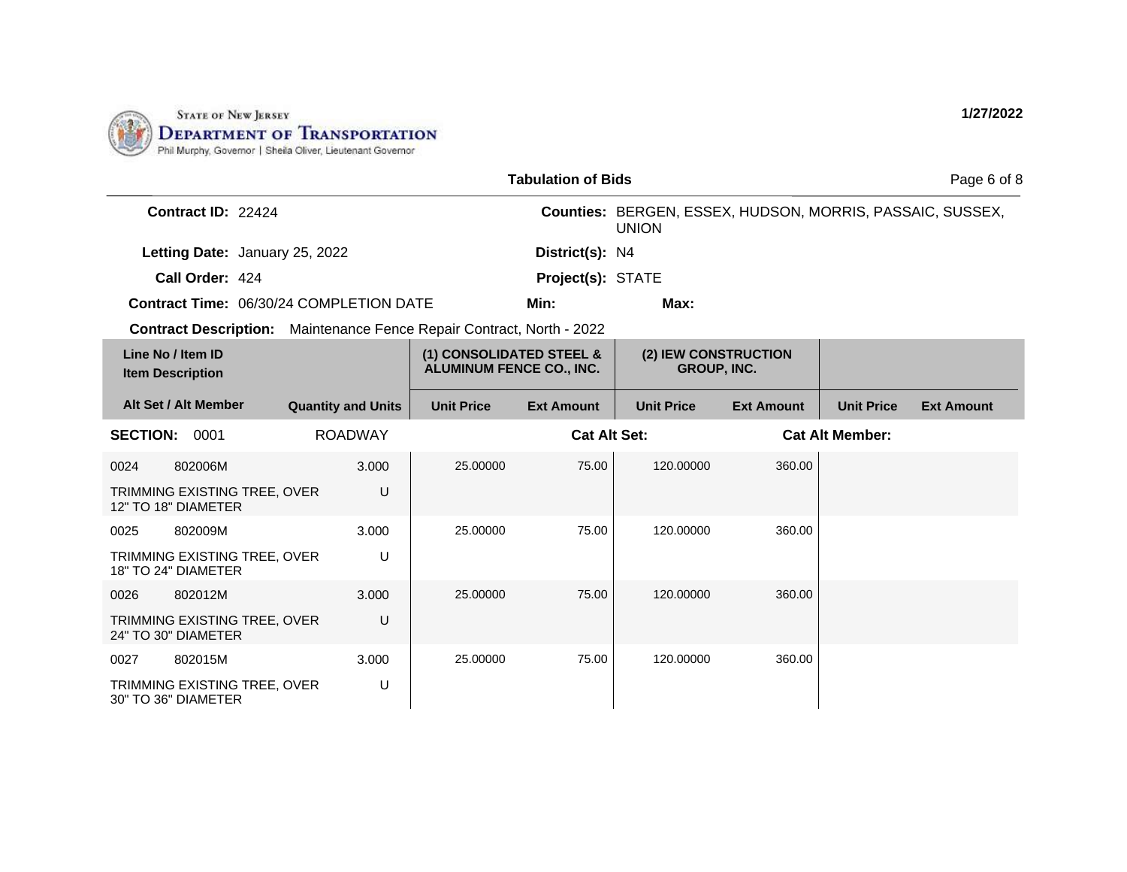

|                 |                                                                              |                           |                                                             | <b>Tabulation of Bids</b> |                                                                           |                   |                        | Page 6 of 8       |
|-----------------|------------------------------------------------------------------------------|---------------------------|-------------------------------------------------------------|---------------------------|---------------------------------------------------------------------------|-------------------|------------------------|-------------------|
|                 | Contract ID: 22424                                                           |                           |                                                             |                           | Counties: BERGEN, ESSEX, HUDSON, MORRIS, PASSAIC, SUSSEX,<br><b>UNION</b> |                   |                        |                   |
|                 | Letting Date: January 25, 2022                                               |                           |                                                             | District(s): N4           |                                                                           |                   |                        |                   |
|                 | Call Order: 424                                                              |                           |                                                             | Project(s): STATE         |                                                                           |                   |                        |                   |
|                 | <b>Contract Time: 06/30/24 COMPLETION DATE</b>                               |                           |                                                             | Min:                      | Max:                                                                      |                   |                        |                   |
|                 | <b>Contract Description:</b> Maintenance Fence Repair Contract, North - 2022 |                           |                                                             |                           |                                                                           |                   |                        |                   |
|                 | Line No / Item ID<br><b>Item Description</b>                                 |                           | (1) CONSOLIDATED STEEL &<br><b>ALUMINUM FENCE CO., INC.</b> |                           | (2) IEW CONSTRUCTION<br><b>GROUP, INC.</b>                                |                   |                        |                   |
|                 | Alt Set / Alt Member                                                         | <b>Quantity and Units</b> | <b>Unit Price</b>                                           | <b>Ext Amount</b>         | <b>Unit Price</b>                                                         | <b>Ext Amount</b> | <b>Unit Price</b>      | <b>Ext Amount</b> |
| <b>SECTION:</b> | 0001                                                                         | <b>ROADWAY</b>            |                                                             | <b>Cat Alt Set:</b>       |                                                                           |                   | <b>Cat Alt Member:</b> |                   |
| 0024            | 802006M                                                                      | 3.000                     | 25.00000                                                    | 75.00                     | 120.00000                                                                 | 360.00            |                        |                   |
|                 | TRIMMING EXISTING TREE, OVER<br>12" TO 18" DIAMETER                          | U                         |                                                             |                           |                                                                           |                   |                        |                   |
| 0025            | 802009M                                                                      | 3.000                     | 25.00000                                                    | 75.00                     | 120.00000                                                                 | 360.00            |                        |                   |
|                 | TRIMMING EXISTING TREE, OVER<br>18" TO 24" DIAMETER                          | U                         |                                                             |                           |                                                                           |                   |                        |                   |
| 0026            | 802012M                                                                      | 3.000                     | 25.00000                                                    | 75.00                     | 120.00000                                                                 | 360.00            |                        |                   |
|                 | TRIMMING EXISTING TREE, OVER<br>24" TO 30" DIAMETER                          | U                         |                                                             |                           |                                                                           |                   |                        |                   |
| 0027            | 802015M                                                                      | 3.000                     | 25.00000                                                    | 75.00                     | 120.00000                                                                 | 360.00            |                        |                   |
|                 | TRIMMING EXISTING TREE, OVER<br>30" TO 36" DIAMETER                          | U                         |                                                             |                           |                                                                           |                   |                        |                   |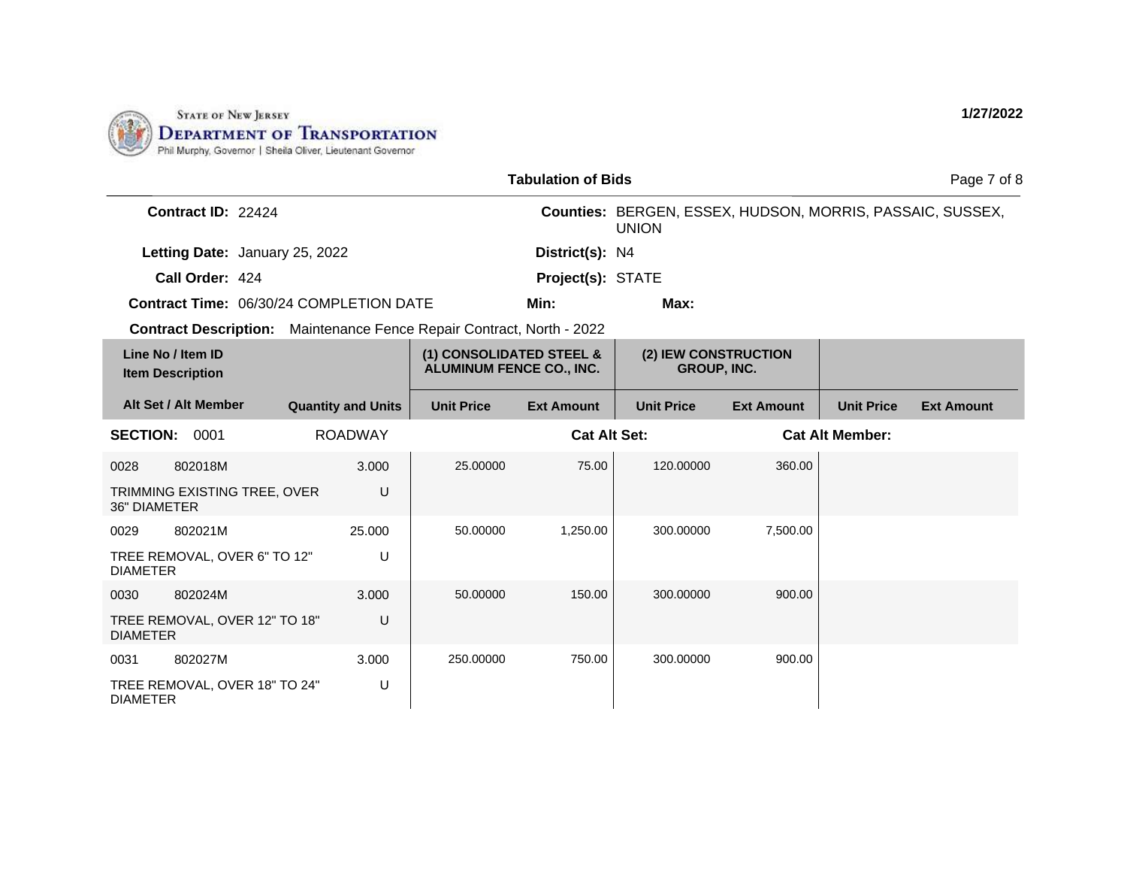

|                                                                              |                           |                                                             | <b>Tabulation of Bids</b> |                                                                           |                   |                        | Page 7 of 8       |
|------------------------------------------------------------------------------|---------------------------|-------------------------------------------------------------|---------------------------|---------------------------------------------------------------------------|-------------------|------------------------|-------------------|
| Contract ID: 22424                                                           |                           |                                                             |                           | Counties: BERGEN, ESSEX, HUDSON, MORRIS, PASSAIC, SUSSEX,<br><b>UNION</b> |                   |                        |                   |
| Letting Date: January 25, 2022                                               |                           |                                                             | District(s): N4           |                                                                           |                   |                        |                   |
| Call Order: 424                                                              |                           |                                                             | Project(s): STATE         |                                                                           |                   |                        |                   |
| <b>Contract Time: 06/30/24 COMPLETION DATE</b>                               |                           |                                                             | Min:                      | Max:                                                                      |                   |                        |                   |
| <b>Contract Description:</b> Maintenance Fence Repair Contract, North - 2022 |                           |                                                             |                           |                                                                           |                   |                        |                   |
| Line No / Item ID<br><b>Item Description</b>                                 |                           | (1) CONSOLIDATED STEEL &<br><b>ALUMINUM FENCE CO., INC.</b> |                           | (2) IEW CONSTRUCTION<br><b>GROUP, INC.</b>                                |                   |                        |                   |
| Alt Set / Alt Member                                                         | <b>Quantity and Units</b> | <b>Unit Price</b>                                           | <b>Ext Amount</b>         | <b>Unit Price</b>                                                         | <b>Ext Amount</b> | <b>Unit Price</b>      | <b>Ext Amount</b> |
| <b>SECTION:</b><br>0001                                                      | <b>ROADWAY</b>            |                                                             | <b>Cat Alt Set:</b>       |                                                                           |                   | <b>Cat Alt Member:</b> |                   |
| 802018M<br>0028                                                              | 3.000                     | 25.00000                                                    | 75.00                     | 120.00000                                                                 | 360.00            |                        |                   |
| TRIMMING EXISTING TREE, OVER<br><b>36" DIAMETER</b>                          | U                         |                                                             |                           |                                                                           |                   |                        |                   |
| 802021M<br>0029                                                              | 25.000                    | 50.00000                                                    | 1,250.00                  | 300.00000                                                                 | 7,500.00          |                        |                   |
| TREE REMOVAL, OVER 6" TO 12"<br><b>DIAMETER</b>                              | U                         |                                                             |                           |                                                                           |                   |                        |                   |
| 802024M<br>0030                                                              | 3.000                     | 50.00000                                                    | 150.00                    | 300.00000                                                                 | 900.00            |                        |                   |
| TREE REMOVAL, OVER 12" TO 18"<br><b>DIAMETER</b>                             | U                         |                                                             |                           |                                                                           |                   |                        |                   |
| 802027M<br>0031                                                              | 3.000                     | 250.00000                                                   | 750.00                    | 300.00000                                                                 | 900.00            |                        |                   |
| TREE REMOVAL, OVER 18" TO 24"<br><b>DIAMETER</b>                             | U                         |                                                             |                           |                                                                           |                   |                        |                   |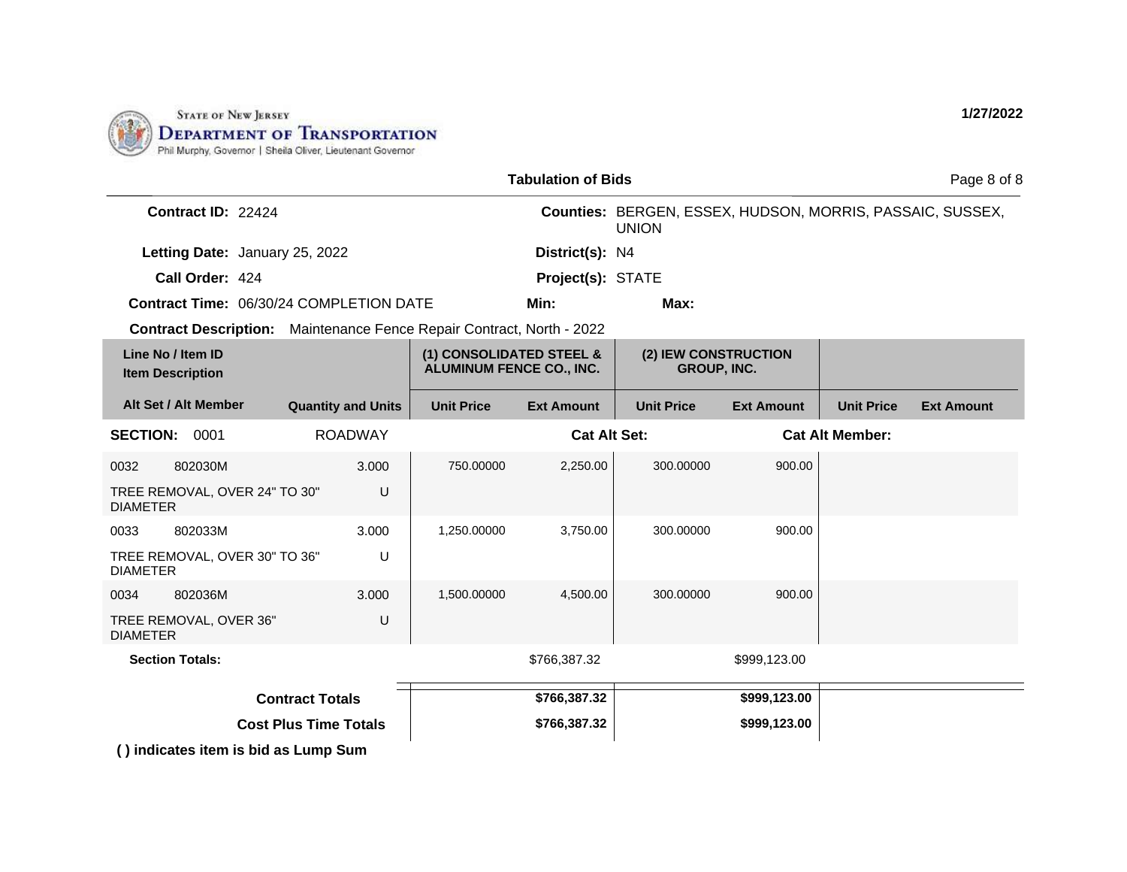

| <b>Tabulation of Bids</b>                                             |                              |                                                             |                     |                                                                           |                   |                        | Page 8 of 8       |
|-----------------------------------------------------------------------|------------------------------|-------------------------------------------------------------|---------------------|---------------------------------------------------------------------------|-------------------|------------------------|-------------------|
| Contract ID: 22424                                                    |                              |                                                             |                     | Counties: BERGEN, ESSEX, HUDSON, MORRIS, PASSAIC, SUSSEX,<br><b>UNION</b> |                   |                        |                   |
| Letting Date: January 25, 2022                                        |                              |                                                             | District(s): N4     |                                                                           |                   |                        |                   |
| Call Order: 424                                                       |                              |                                                             | Project(s): STATE   |                                                                           |                   |                        |                   |
| Contract Time: 06/30/24 COMPLETION DATE                               |                              |                                                             | Min:                | Max:                                                                      |                   |                        |                   |
| Contract Description: Maintenance Fence Repair Contract, North - 2022 |                              |                                                             |                     |                                                                           |                   |                        |                   |
| Line No / Item ID<br><b>Item Description</b>                          |                              | (1) CONSOLIDATED STEEL &<br><b>ALUMINUM FENCE CO., INC.</b> |                     | (2) IEW CONSTRUCTION<br><b>GROUP, INC.</b>                                |                   |                        |                   |
| Alt Set / Alt Member                                                  | <b>Quantity and Units</b>    | <b>Unit Price</b>                                           | <b>Ext Amount</b>   | <b>Unit Price</b>                                                         | <b>Ext Amount</b> | <b>Unit Price</b>      | <b>Ext Amount</b> |
| <b>SECTION: 0001</b>                                                  | <b>ROADWAY</b>               |                                                             | <b>Cat Alt Set:</b> |                                                                           |                   | <b>Cat Alt Member:</b> |                   |
| 0032<br>802030M                                                       | 3.000                        | 750.00000                                                   | 2,250.00            | 300.00000                                                                 | 900.00            |                        |                   |
| TREE REMOVAL, OVER 24" TO 30"<br><b>DIAMETER</b>                      | U                            |                                                             |                     |                                                                           |                   |                        |                   |
| 0033<br>802033M                                                       | 3.000                        | 1,250.00000                                                 | 3,750.00            | 300.00000                                                                 | 900.00            |                        |                   |
| TREE REMOVAL, OVER 30" TO 36"<br><b>DIAMETER</b>                      | U                            |                                                             |                     |                                                                           |                   |                        |                   |
| 802036M<br>0034                                                       | 3.000                        | 1,500.00000                                                 | 4,500.00            | 300.00000                                                                 | 900.00            |                        |                   |
| TREE REMOVAL, OVER 36"<br><b>DIAMETER</b>                             | U                            |                                                             |                     |                                                                           |                   |                        |                   |
| <b>Section Totals:</b>                                                |                              |                                                             | \$766,387.32        |                                                                           | \$999,123.00      |                        |                   |
|                                                                       | <b>Contract Totals</b>       |                                                             | \$766,387.32        |                                                                           | \$999,123.00      |                        |                   |
|                                                                       | <b>Cost Plus Time Totals</b> |                                                             | \$766,387.32        |                                                                           | \$999,123.00      |                        |                   |
| () indicates item is bid as Lump Sum                                  |                              |                                                             |                     |                                                                           |                   |                        |                   |